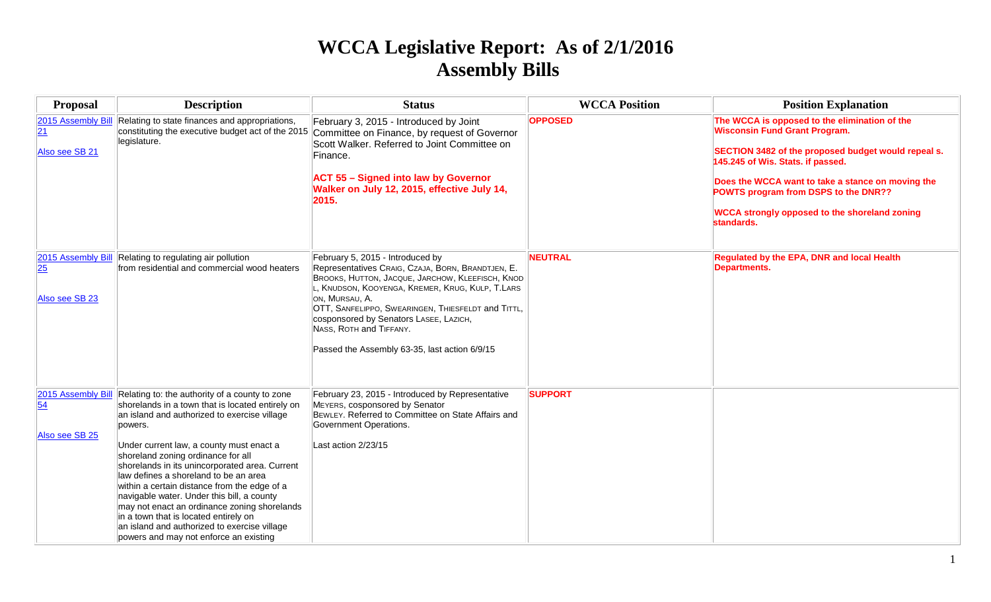## **WCCA Legislative Report: As of 2/1/2016 Assembly Bills**

| <b>Proposal</b>                            | <b>Description</b>                                                                                                                                                                                                                                                                                                                                                                                                                                                                                                                                                                                                          | <b>Status</b>                                                                                                                                                                                                                                                                                                                                                                              | <b>WCCA Position</b> | <b>Position Explanation</b>                                                                                                                                                                                                                                                                                                                          |
|--------------------------------------------|-----------------------------------------------------------------------------------------------------------------------------------------------------------------------------------------------------------------------------------------------------------------------------------------------------------------------------------------------------------------------------------------------------------------------------------------------------------------------------------------------------------------------------------------------------------------------------------------------------------------------------|--------------------------------------------------------------------------------------------------------------------------------------------------------------------------------------------------------------------------------------------------------------------------------------------------------------------------------------------------------------------------------------------|----------------------|------------------------------------------------------------------------------------------------------------------------------------------------------------------------------------------------------------------------------------------------------------------------------------------------------------------------------------------------------|
| 2015 Assembly Bill<br>21<br>Also see SB 21 | Relating to state finances and appropriations,<br>constituting the executive budget act of the 2015<br>legislature.                                                                                                                                                                                                                                                                                                                                                                                                                                                                                                         | February 3, 2015 - Introduced by Joint<br>Committee on Finance, by request of Governor<br>Scott Walker, Referred to Joint Committee on<br>Finance.<br><b>ACT 55 - Signed into law by Governor</b><br>Walker on July 12, 2015, effective July 14,<br>2015.                                                                                                                                  | <b>OPPOSED</b>       | The WCCA is opposed to the elimination of the<br><b>Wisconsin Fund Grant Program.</b><br>SECTION 3482 of the proposed budget would repeal s.<br>145.245 of Wis. Stats. if passed.<br>Does the WCCA want to take a stance on moving the<br>POWTS program from DSPS to the DNR??<br><b>WCCA strongly opposed to the shoreland zoning</b><br>standards. |
| 2015 Assembly Bill<br>25<br>Also see SB 23 | Relating to regulating air pollution<br>from residential and commercial wood heaters                                                                                                                                                                                                                                                                                                                                                                                                                                                                                                                                        | February 5, 2015 - Introduced by<br>Representatives CRAIG, CZAJA, BORN, BRANDTJEN, E.<br>BROOKS, HUTTON, JACQUE, JARCHOW, KLEEFISCH, KNOD<br>, KNUDSON, KOOYENGA, KREMER, KRUG, KULP, T.LARS<br>ON, MURSAU, A.<br>OTT, SANFELIPPO, SWEARINGEN, THIESFELDT and TITTL,<br>cosponsored by Senators LASEE, LAZICH,<br>NASS, ROTH and TIFFANY.<br>Passed the Assembly 63-35, last action 6/9/15 | <b>NEUTRAL</b>       | Regulated by the EPA, DNR and local Health<br><b>Departments.</b>                                                                                                                                                                                                                                                                                    |
| 2015 Assembly Bill<br>54<br>Also see SB 25 | Relating to: the authority of a county to zone<br>shorelands in a town that is located entirely on<br>an island and authorized to exercise village<br>powers.<br>Under current law, a county must enact a<br>shoreland zoning ordinance for all<br>shorelands in its unincorporated area. Current<br>law defines a shoreland to be an area<br>within a certain distance from the edge of a<br>navigable water. Under this bill, a county<br>may not enact an ordinance zoning shorelands<br>in a town that is located entirely on<br>an island and authorized to exercise village<br>powers and may not enforce an existing | February 23, 2015 - Introduced by Representative<br>MEYERS, cosponsored by Senator<br>BEWLEY. Referred to Committee on State Affairs and<br>Government Operations.<br>Last action 2/23/15                                                                                                                                                                                                  | <b>SUPPORT</b>       |                                                                                                                                                                                                                                                                                                                                                      |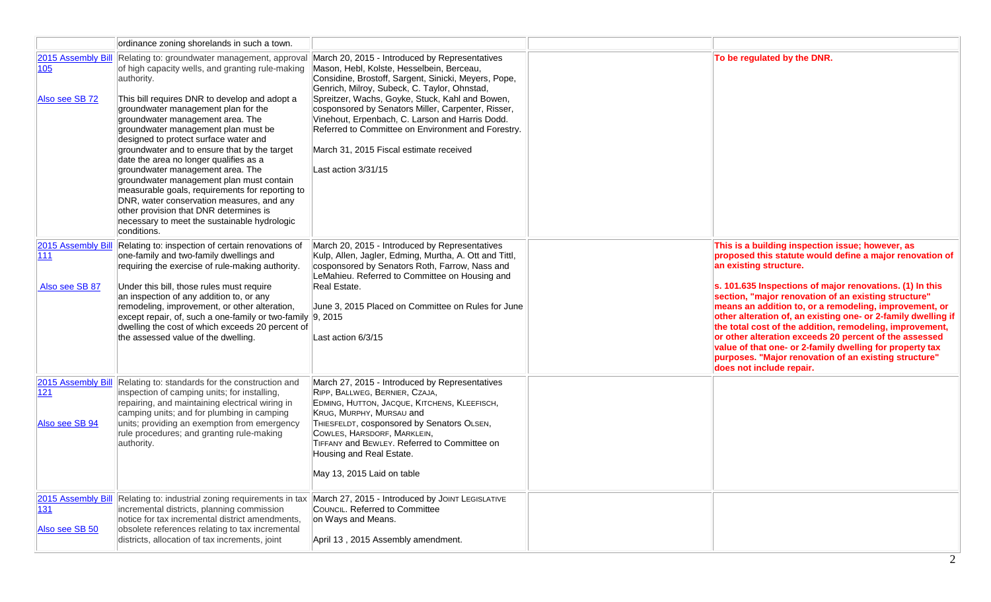|                                             | ordinance zoning shorelands in such a town.                                                                                                                                                                                                                                                                                                                                                                                                                                                                                                                                                                                                                                                                    |                                                                                                                                                                                                                                                                                                                                                                                                                                                                                         |                                                                                                                                                                                                                                                                                                                                                                                                                                                                                                                                                                              |
|---------------------------------------------|----------------------------------------------------------------------------------------------------------------------------------------------------------------------------------------------------------------------------------------------------------------------------------------------------------------------------------------------------------------------------------------------------------------------------------------------------------------------------------------------------------------------------------------------------------------------------------------------------------------------------------------------------------------------------------------------------------------|-----------------------------------------------------------------------------------------------------------------------------------------------------------------------------------------------------------------------------------------------------------------------------------------------------------------------------------------------------------------------------------------------------------------------------------------------------------------------------------------|------------------------------------------------------------------------------------------------------------------------------------------------------------------------------------------------------------------------------------------------------------------------------------------------------------------------------------------------------------------------------------------------------------------------------------------------------------------------------------------------------------------------------------------------------------------------------|
| 2015 Assembly Bill<br>105<br>Also see SB 72 | Relating to: groundwater management, approval<br>of high capacity wells, and granting rule-making<br>authority.<br>This bill requires DNR to develop and adopt a<br>groundwater management plan for the<br>groundwater management area. The<br>groundwater management plan must be<br>designed to protect surface water and<br>groundwater and to ensure that by the target<br>date the area no longer qualifies as a<br>groundwater management area. The<br>groundwater management plan must contain<br>measurable goals, requirements for reporting to<br>DNR, water conservation measures, and any<br>other provision that DNR determines is<br>necessary to meet the sustainable hydrologic<br>conditions. | March 20, 2015 - Introduced by Representatives<br>Mason, Hebl, Kolste, Hesselbein, Berceau,<br>Considine, Brostoff, Sargent, Sinicki, Meyers, Pope,<br>Genrich, Milroy, Subeck, C. Taylor, Ohnstad,<br>Spreitzer, Wachs, Goyke, Stuck, Kahl and Bowen,<br>cosponsored by Senators Miller, Carpenter, Risser,<br>Vinehout, Erpenbach, C. Larson and Harris Dodd.<br>Referred to Committee on Environment and Forestry.<br>March 31, 2015 Fiscal estimate received<br>Last action 3/31/15 | To be regulated by the DNR.                                                                                                                                                                                                                                                                                                                                                                                                                                                                                                                                                  |
| 2015 Assembly Bill                          | Relating to: inspection of certain renovations of                                                                                                                                                                                                                                                                                                                                                                                                                                                                                                                                                                                                                                                              | March 20, 2015 - Introduced by Representatives                                                                                                                                                                                                                                                                                                                                                                                                                                          | This is a building inspection issue; however, as                                                                                                                                                                                                                                                                                                                                                                                                                                                                                                                             |
| 111<br>Also see SB 87                       | one-family and two-family dwellings and<br>requiring the exercise of rule-making authority.<br>Under this bill, those rules must require<br>an inspection of any addition to, or any<br>remodeling, improvement, or other alteration,<br>except repair, of, such a one-family or two-family 9, 2015<br>dwelling the cost of which exceeds 20 percent of<br>the assessed value of the dwelling.                                                                                                                                                                                                                                                                                                                 | Kulp, Allen, Jagler, Edming, Murtha, A. Ott and Tittl,<br>cosponsored by Senators Roth, Farrow, Nass and<br>LeMahieu. Referred to Committee on Housing and<br>Real Estate.<br>June 3, 2015 Placed on Committee on Rules for June<br>Last action 6/3/15                                                                                                                                                                                                                                  | proposed this statute would define a major renovation of<br>an existing structure.<br>s. 101.635 Inspections of major renovations. (1) In this<br>section, "major renovation of an existing structure"<br>means an addition to, or a remodeling, improvement, or<br>other alteration of, an existing one- or 2-family dwelling if<br>the total cost of the addition, remodeling, improvement,<br>or other alteration exceeds 20 percent of the assessed<br>value of that one- or 2-family dwelling for property tax<br>purposes. "Major renovation of an existing structure" |
|                                             |                                                                                                                                                                                                                                                                                                                                                                                                                                                                                                                                                                                                                                                                                                                |                                                                                                                                                                                                                                                                                                                                                                                                                                                                                         | does not include repair.                                                                                                                                                                                                                                                                                                                                                                                                                                                                                                                                                     |
| 2015 Assembly Bill<br>121<br>Also see SB 94 | Relating to: standards for the construction and<br>inspection of camping units; for installing,<br>repairing, and maintaining electrical wiring in<br>camping units; and for plumbing in camping<br>units; providing an exemption from emergency<br>rule procedures; and granting rule-making<br>authority.                                                                                                                                                                                                                                                                                                                                                                                                    | March 27, 2015 - Introduced by Representatives<br>RIPP, BALLWEG, BERNIER, CZAJA,<br>EDMING, HUTTON, JACQUE, KITCHENS, KLEEFISCH,<br>KRUG, MURPHY, MURSAU and<br>THIESFELDT, cosponsored by Senators OLSEN,<br>COWLES, HARSDORF, MARKLEIN,<br>TIFFANY and BEWLEY. Referred to Committee on<br>Housing and Real Estate.<br>May 13, 2015 Laid on table                                                                                                                                     |                                                                                                                                                                                                                                                                                                                                                                                                                                                                                                                                                                              |
| 2015 Assembly Bill<br>131<br>Also see SB 50 | Relating to: industrial zoning requirements in tax<br>incremental districts, planning commission<br>notice for tax incremental district amendments,<br>obsolete references relating to tax incremental<br>districts, allocation of tax increments, joint                                                                                                                                                                                                                                                                                                                                                                                                                                                       | March 27, 2015 - Introduced by JOINT LEGISLATIVE<br>COUNCIL. Referred to Committee<br>on Ways and Means.<br>April 13, 2015 Assembly amendment.                                                                                                                                                                                                                                                                                                                                          |                                                                                                                                                                                                                                                                                                                                                                                                                                                                                                                                                                              |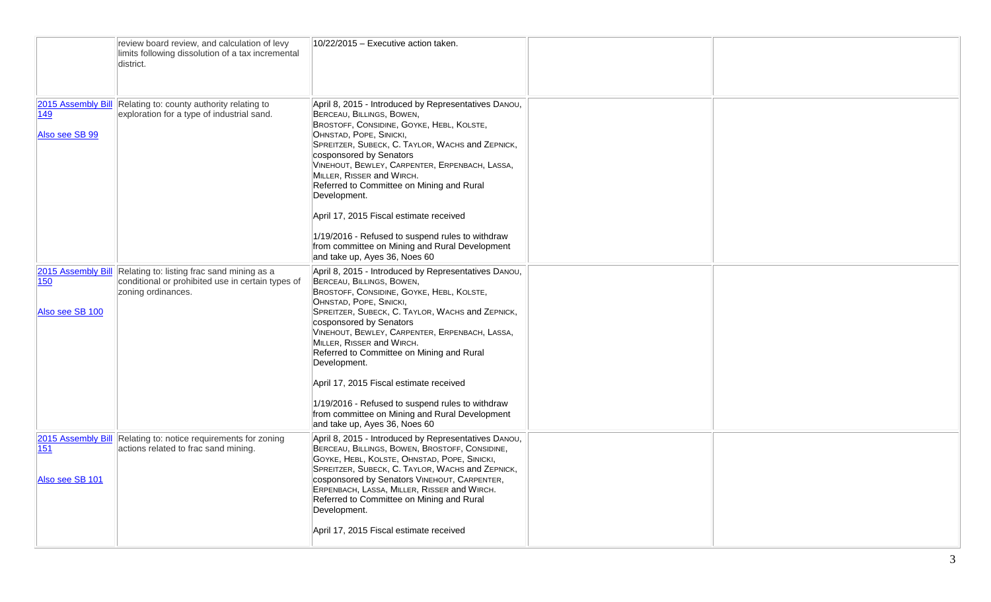|                        | review board review, and calculation of levy<br>limits following dissolution of a tax incremental<br>district.                           | 10/22/2015 - Executive action taken.                                                                                                                                                                                                                                                                                                                                                                                            |  |
|------------------------|------------------------------------------------------------------------------------------------------------------------------------------|---------------------------------------------------------------------------------------------------------------------------------------------------------------------------------------------------------------------------------------------------------------------------------------------------------------------------------------------------------------------------------------------------------------------------------|--|
| 149<br>Also see SB 99  | 2015 Assembly Bill Relating to: county authority relating to<br>exploration for a type of industrial sand.                               | April 8, 2015 - Introduced by Representatives DANOU,<br>BERCEAU, BILLINGS, BOWEN,<br>BROSTOFF, CONSIDINE, GOYKE, HEBL, KOLSTE,<br>OHNSTAD, POPE, SINICKI,<br>SPREITZER, SUBECK, C. TAYLOR, WACHS and ZEPNICK,<br>cosponsored by Senators<br>VINEHOUT, BEWLEY, CARPENTER, ERPENBACH, LASSA,<br>MILLER, RISSER and WIRCH.<br>Referred to Committee on Mining and Rural<br>Development.<br>April 17, 2015 Fiscal estimate received |  |
|                        |                                                                                                                                          | 1/19/2016 - Refused to suspend rules to withdraw<br>from committee on Mining and Rural Development<br>and take up, Ayes 36, Noes 60                                                                                                                                                                                                                                                                                             |  |
| 150<br>Also see SB 100 | 2015 Assembly Bill Relating to: listing frac sand mining as a<br>conditional or prohibited use in certain types of<br>zoning ordinances. | April 8, 2015 - Introduced by Representatives DANOU,<br>BERCEAU, BILLINGS, BOWEN,<br>BROSTOFF, CONSIDINE, GOYKE, HEBL, KOLSTE,<br>OHNSTAD, POPE, SINICKI,<br>SPREITZER, SUBECK, C. TAYLOR, WACHS and ZEPNICK,<br>cosponsored by Senators<br>VINEHOUT, BEWLEY, CARPENTER, ERPENBACH, LASSA,<br>MILLER, RISSER and WIRCH.<br>Referred to Committee on Mining and Rural<br>Development.                                            |  |
|                        |                                                                                                                                          | April 17, 2015 Fiscal estimate received<br>1/19/2016 - Refused to suspend rules to withdraw<br>from committee on Mining and Rural Development<br>and take up, Ayes 36, Noes 60                                                                                                                                                                                                                                                  |  |
| 151<br>Also see SB 101 | 2015 Assembly Bill Relating to: notice requirements for zoning<br>actions related to frac sand mining.                                   | April 8, 2015 - Introduced by Representatives DANOU,<br>BERCEAU, BILLINGS, BOWEN, BROSTOFF, CONSIDINE,<br>GOYKE, HEBL, KOLSTE, OHNSTAD, POPE, SINICKI,<br>SPREITZER, SUBECK, C. TAYLOR, WACHS and ZEPNICK,<br>cosponsored by Senators VINEHOUT, CARPENTER,<br>ERPENBACH, LASSA, MILLER, RISSER and WIRCH.<br>Referred to Committee on Mining and Rural<br>Development.                                                          |  |
|                        |                                                                                                                                          | April 17, 2015 Fiscal estimate received                                                                                                                                                                                                                                                                                                                                                                                         |  |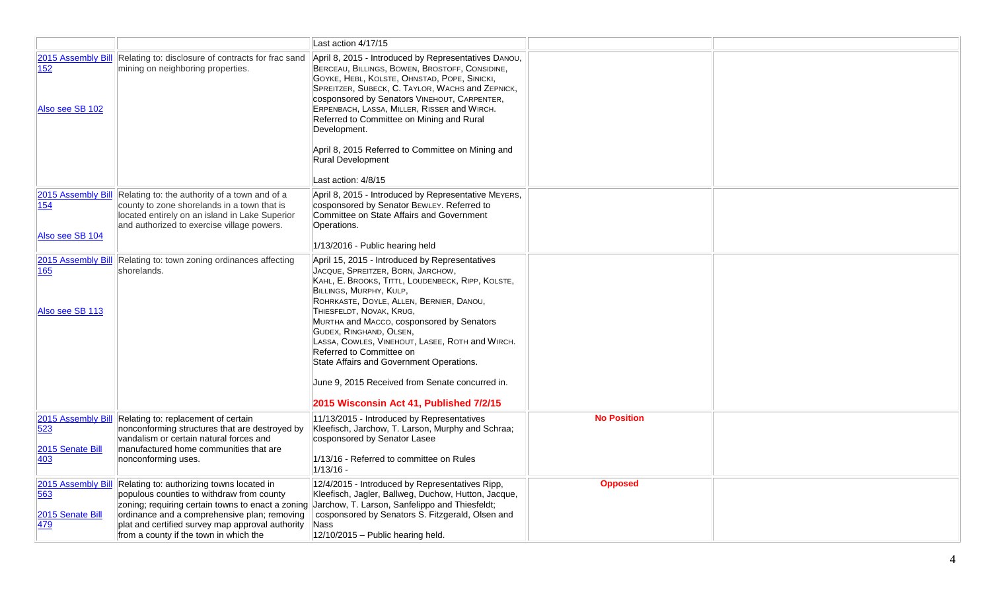|                                                      |                                                                                                                                                                                                                                                                                           | Last action 4/17/15                                                                                                                                                                                                                                                                                                                                                                                                                                                                                                                          |                    |  |
|------------------------------------------------------|-------------------------------------------------------------------------------------------------------------------------------------------------------------------------------------------------------------------------------------------------------------------------------------------|----------------------------------------------------------------------------------------------------------------------------------------------------------------------------------------------------------------------------------------------------------------------------------------------------------------------------------------------------------------------------------------------------------------------------------------------------------------------------------------------------------------------------------------------|--------------------|--|
| 152<br>Also see SB 102                               | 2015 Assembly Bill Relating to: disclosure of contracts for frac sand<br>mining on neighboring properties.                                                                                                                                                                                | April 8, 2015 - Introduced by Representatives DANOU,<br>BERCEAU, BILLINGS, BOWEN, BROSTOFF, CONSIDINE,<br>GOYKE, HEBL, KOLSTE, OHNSTAD, POPE, SINICKI,<br>SPREITZER, SUBECK, C. TAYLOR, WACHS and ZEPNICK,<br>cosponsored by Senators VINEHOUT, CARPENTER,<br>ERPENBACH, LASSA, MILLER, RISSER and WIRCH.<br>Referred to Committee on Mining and Rural<br>Development.<br>April 8, 2015 Referred to Committee on Mining and<br><b>Rural Development</b><br>Last action: 4/8/15                                                               |                    |  |
| 2015 Assembly Bill<br>154<br>Also see SB 104         | Relating to: the authority of a town and of a<br>county to zone shorelands in a town that is<br>located entirely on an island in Lake Superior<br>and authorized to exercise village powers.                                                                                              | April 8, 2015 - Introduced by Representative MEYERS,<br>cosponsored by Senator BEWLEY. Referred to<br>Committee on State Affairs and Government<br>Operations.<br>1/13/2016 - Public hearing held                                                                                                                                                                                                                                                                                                                                            |                    |  |
| 2015 Assembly Bill<br>165<br>Also see SB 113         | Relating to: town zoning ordinances affecting<br>shorelands.                                                                                                                                                                                                                              | April 15, 2015 - Introduced by Representatives<br>JACQUE, SPREITZER, BORN, JARCHOW,<br>KAHL, E. BROOKS, TITTL, LOUDENBECK, RIPP, KOLSTE,<br>BILLINGS, MURPHY, KULP,<br>ROHRKASTE, DOYLE, ALLEN, BERNIER, DANOU,<br>THIESFELDT, NOVAK, KRUG,<br>MURTHA and MACCO, cosponsored by Senators<br>GUDEX, RINGHAND, OLSEN,<br>LASSA, COWLES, VINEHOUT, LASEE, ROTH and WIRCH.<br>Referred to Committee on<br>State Affairs and Government Operations.<br>June 9, 2015 Received from Senate concurred in.<br>2015 Wisconsin Act 41, Published 7/2/15 |                    |  |
| 2015 Assembly Bill<br>523<br>2015 Senate Bill<br>403 | Relating to: replacement of certain<br>nonconforming structures that are destroyed by<br>vandalism or certain natural forces and<br>manufactured home communities that are<br>nonconforming uses.                                                                                         | 11/13/2015 - Introduced by Representatives<br>Kleefisch, Jarchow, T. Larson, Murphy and Schraa;<br>cosponsored by Senator Lasee<br>1/13/16 - Referred to committee on Rules<br>$1/13/16 -$                                                                                                                                                                                                                                                                                                                                                   | <b>No Position</b> |  |
| 2015 Assembly Bill<br>563<br>2015 Senate Bill<br>479 | Relating to: authorizing towns located in<br>populous counties to withdraw from county<br>zoning; requiring certain towns to enact a zoning<br>ordinance and a comprehensive plan; removing<br>plat and certified survey map approval authority<br>from a county if the town in which the | 12/4/2015 - Introduced by Representatives Ripp,<br>Kleefisch, Jagler, Ballweg, Duchow, Hutton, Jacque,<br>Jarchow, T. Larson, Sanfelippo and Thiesfeldt;<br>cosponsored by Senators S. Fitzgerald, Olsen and<br>Nass<br>12/10/2015 - Public hearing held.                                                                                                                                                                                                                                                                                    | <b>Opposed</b>     |  |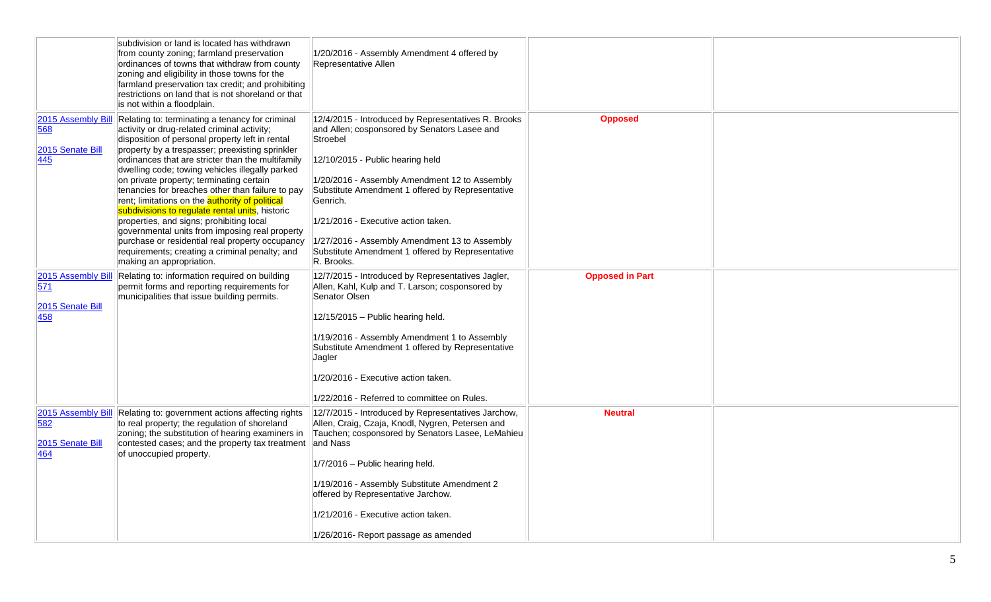|                                                      | subdivision or land is located has withdrawn<br>from county zoning; farmland preservation<br>ordinances of towns that withdraw from county<br>zoning and eligibility in those towns for the<br>farmland preservation tax credit; and prohibiting<br>restrictions on land that is not shoreland or that<br>is not within a floodplain.                                                                                                                                                                                                                                                                                                                                                                                                                    | 1/20/2016 - Assembly Amendment 4 offered by<br>Representative Allen                                                                                                                                                                                                                                                                                                                                                            |                        |  |
|------------------------------------------------------|----------------------------------------------------------------------------------------------------------------------------------------------------------------------------------------------------------------------------------------------------------------------------------------------------------------------------------------------------------------------------------------------------------------------------------------------------------------------------------------------------------------------------------------------------------------------------------------------------------------------------------------------------------------------------------------------------------------------------------------------------------|--------------------------------------------------------------------------------------------------------------------------------------------------------------------------------------------------------------------------------------------------------------------------------------------------------------------------------------------------------------------------------------------------------------------------------|------------------------|--|
| 2015 Assembly Bill<br>568<br>2015 Senate Bill<br>445 | Relating to: terminating a tenancy for criminal<br>activity or drug-related criminal activity;<br>disposition of personal property left in rental<br>property by a trespasser; preexisting sprinkler<br>ordinances that are stricter than the multifamily<br>dwelling code; towing vehicles illegally parked<br>on private property; terminating certain<br>tenancies for breaches other than failure to pay<br>rent; limitations on the <b>authority of political</b><br>subdivisions to regulate rental units, historic<br>properties, and signs; prohibiting local<br>governmental units from imposing real property<br>purchase or residential real property occupancy<br>requirements; creating a criminal penalty; and<br>making an appropriation. | 12/4/2015 - Introduced by Representatives R. Brooks<br>and Allen; cosponsored by Senators Lasee and<br>Stroebel<br>12/10/2015 - Public hearing held<br>1/20/2016 - Assembly Amendment 12 to Assembly<br>Substitute Amendment 1 offered by Representative<br>Genrich.<br>1/21/2016 - Executive action taken.<br>1/27/2016 - Assembly Amendment 13 to Assembly<br>Substitute Amendment 1 offered by Representative<br>R. Brooks. | <b>Opposed</b>         |  |
| 2015 Assembly Bill<br>571<br>2015 Senate Bill<br>458 | Relating to: information required on building<br>permit forms and reporting requirements for<br>municipalities that issue building permits.                                                                                                                                                                                                                                                                                                                                                                                                                                                                                                                                                                                                              | 12/7/2015 - Introduced by Representatives Jagler,<br>Allen, Kahl, Kulp and T. Larson; cosponsored by<br>Senator Olsen<br>12/15/2015 - Public hearing held.<br>1/19/2016 - Assembly Amendment 1 to Assembly<br>Substitute Amendment 1 offered by Representative<br>Jagler<br>1/20/2016 - Executive action taken.<br>1/22/2016 - Referred to committee on Rules.                                                                 | <b>Opposed in Part</b> |  |
| 2015 Assembly Bill<br>582<br>2015 Senate Bill<br>464 | Relating to: government actions affecting rights<br>to real property; the regulation of shoreland<br>zoning; the substitution of hearing examiners in<br>contested cases; and the property tax treatment<br>of unoccupied property.                                                                                                                                                                                                                                                                                                                                                                                                                                                                                                                      | 12/7/2015 - Introduced by Representatives Jarchow,<br>Allen, Craig, Czaja, Knodl, Nygren, Petersen and<br>Tauchen; cosponsored by Senators Lasee, LeMahieu<br>and Nass<br>1/7/2016 - Public hearing held.<br>1/19/2016 - Assembly Substitute Amendment 2<br>offered by Representative Jarchow.<br>1/21/2016 - Executive action taken.<br>1/26/2016- Report passage as amended                                                  | <b>Neutral</b>         |  |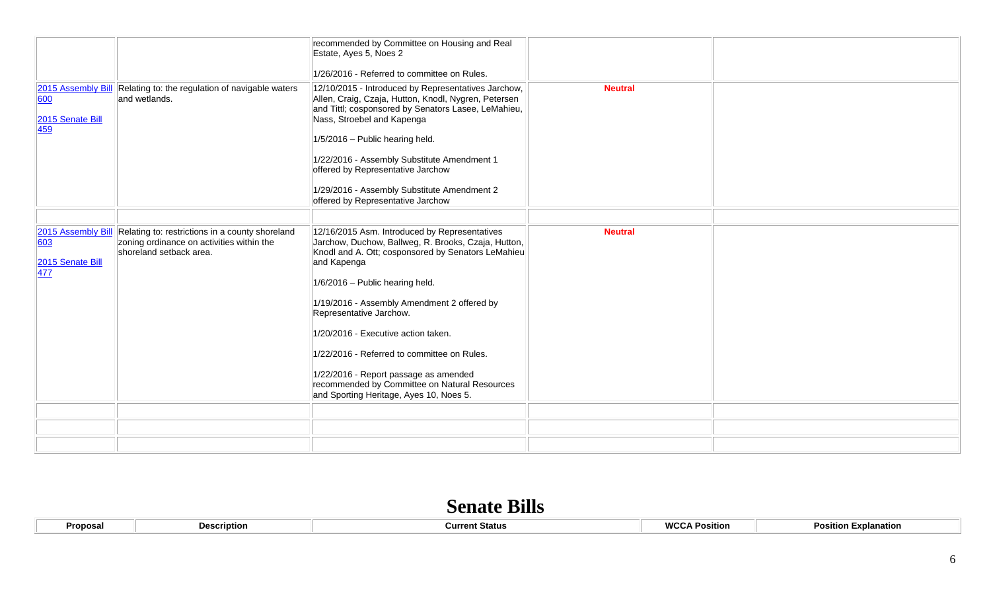|                                             |                                                                                                                                            | recommended by Committee on Housing and Real<br>Estate, Ayes 5, Noes 2<br>1/26/2016 - Referred to committee on Rules.                                                                                                                                                                                                                                                                                                                                                                                             |                |  |
|---------------------------------------------|--------------------------------------------------------------------------------------------------------------------------------------------|-------------------------------------------------------------------------------------------------------------------------------------------------------------------------------------------------------------------------------------------------------------------------------------------------------------------------------------------------------------------------------------------------------------------------------------------------------------------------------------------------------------------|----------------|--|
| 600<br>2015 Senate Bill<br>459              | 2015 Assembly Bill Relating to: the regulation of navigable waters<br>and wetlands.                                                        | 12/10/2015 - Introduced by Representatives Jarchow,<br>Allen, Craig, Czaja, Hutton, Knodl, Nygren, Petersen<br>and Tittl; cosponsored by Senators Lasee, LeMahieu,<br>Nass, Stroebel and Kapenga<br>1/5/2016 - Public hearing held.<br>1/22/2016 - Assembly Substitute Amendment 1<br>offered by Representative Jarchow<br>1/29/2016 - Assembly Substitute Amendment 2<br>offered by Representative Jarchow                                                                                                       | <b>Neutral</b> |  |
| 603<br>2015 Senate Bill<br>$\overline{477}$ | 2015 Assembly Bill Relating to: restrictions in a county shoreland<br>zoning ordinance on activities within the<br>shoreland setback area. | 12/16/2015 Asm. Introduced by Representatives<br>Jarchow, Duchow, Ballweg, R. Brooks, Czaja, Hutton,<br>Knodl and A. Ott; cosponsored by Senators LeMahieu<br>and Kapenga<br>1/6/2016 - Public hearing held.<br>1/19/2016 - Assembly Amendment 2 offered by<br>Representative Jarchow.<br>1/20/2016 - Executive action taken.<br>1/22/2016 - Referred to committee on Rules.<br>1/22/2016 - Report passage as amended<br>recommended by Committee on Natural Resources<br>and Sporting Heritage, Ayes 10, Noes 5. | <b>Neutral</b> |  |
|                                             |                                                                                                                                            |                                                                                                                                                                                                                                                                                                                                                                                                                                                                                                                   |                |  |
|                                             |                                                                                                                                            |                                                                                                                                                                                                                                                                                                                                                                                                                                                                                                                   |                |  |
|                                             |                                                                                                                                            |                                                                                                                                                                                                                                                                                                                                                                                                                                                                                                                   |                |  |

## **Senate Bills**

| Proposa<br><b>Description</b> | urrent Status: | 1010<br>∴ Po<br>Position<br>wuu | Positior<br>Explanation |
|-------------------------------|----------------|---------------------------------|-------------------------|
|-------------------------------|----------------|---------------------------------|-------------------------|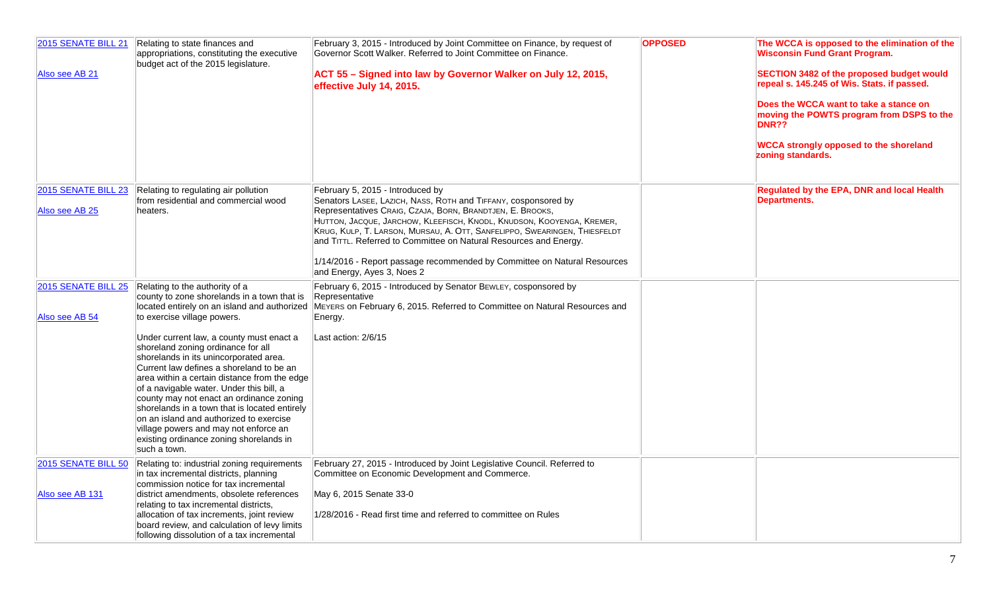| 2015 SENATE BILL 21<br>Also see AB 21  | Relating to state finances and<br>appropriations, constituting the executive<br>budget act of the 2015 legislature.                                                                                                                                                                                                                                                                                                                                                                                                                                                                                                                                                          | February 3, 2015 - Introduced by Joint Committee on Finance, by request of<br>Governor Scott Walker. Referred to Joint Committee on Finance.<br>ACT 55 - Signed into law by Governor Walker on July 12, 2015,<br>effective July 14, 2015.                                                                                                                                                                                                                                                            | <b>OPPOSED</b> | The WCCA is opposed to the elimination of the<br><b>Wisconsin Fund Grant Program.</b><br>SECTION 3482 of the proposed budget would<br>repeal s. 145.245 of Wis. Stats. if passed.<br>Does the WCCA want to take a stance on<br>moving the POWTS program from DSPS to the<br><b>DNR??</b><br><b>WCCA strongly opposed to the shoreland</b><br>zoning standards. |
|----------------------------------------|------------------------------------------------------------------------------------------------------------------------------------------------------------------------------------------------------------------------------------------------------------------------------------------------------------------------------------------------------------------------------------------------------------------------------------------------------------------------------------------------------------------------------------------------------------------------------------------------------------------------------------------------------------------------------|------------------------------------------------------------------------------------------------------------------------------------------------------------------------------------------------------------------------------------------------------------------------------------------------------------------------------------------------------------------------------------------------------------------------------------------------------------------------------------------------------|----------------|----------------------------------------------------------------------------------------------------------------------------------------------------------------------------------------------------------------------------------------------------------------------------------------------------------------------------------------------------------------|
| 2015 SENATE BILL 23<br>Also see AB 25  | Relating to regulating air pollution<br>from residential and commercial wood<br>heaters.                                                                                                                                                                                                                                                                                                                                                                                                                                                                                                                                                                                     | February 5, 2015 - Introduced by<br>Senators LASEE, LAZICH, NASS, ROTH and TIFFANY, cosponsored by<br>Representatives CRAIG, CZAJA, BORN, BRANDTJEN, E. BROOKS,<br>HUTTON, JACQUE, JARCHOW, KLEEFISCH, KNODL, KNUDSON, KOOYENGA, KREMER,<br>KRUG, KULP, T. LARSON, MURSAU, A. OTT, SANFELIPPO, SWEARINGEN, THIESFELDT<br>and TITTL. Referred to Committee on Natural Resources and Energy.<br>1/14/2016 - Report passage recommended by Committee on Natural Resources<br>and Energy, Ayes 3, Noes 2 |                | Regulated by the EPA, DNR and local Health<br><b>Departments.</b>                                                                                                                                                                                                                                                                                              |
| 2015 SENATE BILL 25<br>Also see AB 54  | Relating to the authority of a<br>county to zone shorelands in a town that is<br>located entirely on an island and authorized<br>to exercise village powers.<br>Under current law, a county must enact a<br>shoreland zoning ordinance for all<br>shorelands in its unincorporated area.<br>Current law defines a shoreland to be an<br>area within a certain distance from the edge<br>of a navigable water. Under this bill, a<br>county may not enact an ordinance zoning<br>shorelands in a town that is located entirely<br>on an island and authorized to exercise<br>village powers and may not enforce an<br>existing ordinance zoning shorelands in<br>such a town. | February 6, 2015 - Introduced by Senator BEWLEY, cosponsored by<br>Representative<br>MEYERS on February 6, 2015. Referred to Committee on Natural Resources and<br>Energy.<br>Last action: 2/6/15                                                                                                                                                                                                                                                                                                    |                |                                                                                                                                                                                                                                                                                                                                                                |
| 2015 SENATE BILL 50<br>Also see AB 131 | Relating to: industrial zoning requirements<br>in tax incremental districts, planning<br>commission notice for tax incremental<br>district amendments, obsolete references<br>relating to tax incremental districts,<br>allocation of tax increments, joint review<br>board review, and calculation of levy limits<br>following dissolution of a tax incremental                                                                                                                                                                                                                                                                                                             | February 27, 2015 - Introduced by Joint Legislative Council. Referred to<br>Committee on Economic Development and Commerce.<br>May 6, 2015 Senate 33-0<br>1/28/2016 - Read first time and referred to committee on Rules                                                                                                                                                                                                                                                                             |                |                                                                                                                                                                                                                                                                                                                                                                |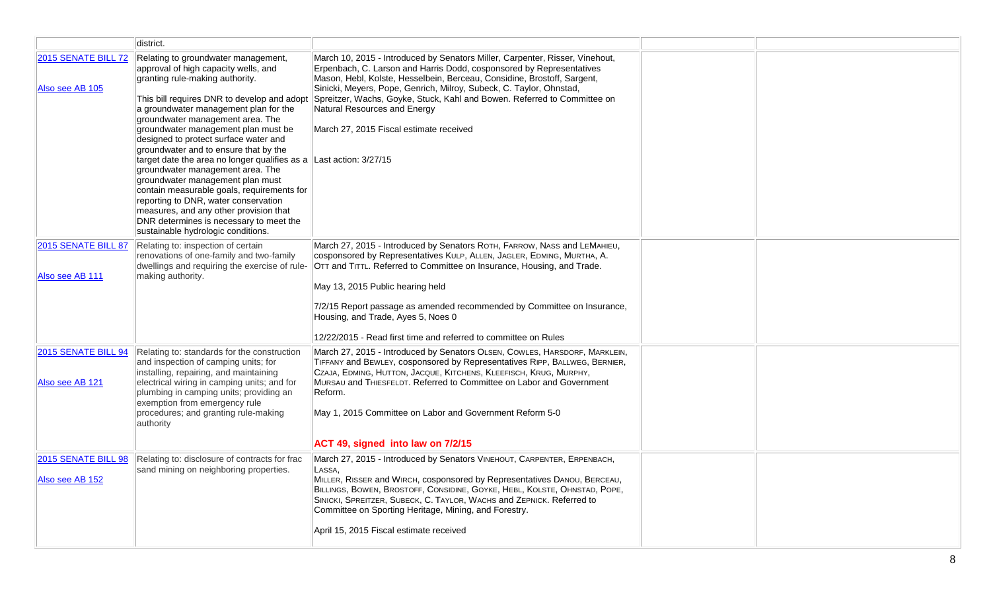|                                        | district.                                                                                                                                                                                                                                                                                                                                                                                                                                                                                                                                                                                                                                                                                   |                                                                                                                                                                                                                                                                                                                                                                               |  |
|----------------------------------------|---------------------------------------------------------------------------------------------------------------------------------------------------------------------------------------------------------------------------------------------------------------------------------------------------------------------------------------------------------------------------------------------------------------------------------------------------------------------------------------------------------------------------------------------------------------------------------------------------------------------------------------------------------------------------------------------|-------------------------------------------------------------------------------------------------------------------------------------------------------------------------------------------------------------------------------------------------------------------------------------------------------------------------------------------------------------------------------|--|
| 2015 SENATE BILL 72                    | Relating to groundwater management,                                                                                                                                                                                                                                                                                                                                                                                                                                                                                                                                                                                                                                                         | March 10, 2015 - Introduced by Senators Miller, Carpenter, Risser, Vinehout,                                                                                                                                                                                                                                                                                                  |  |
| Also see AB 105                        | approval of high capacity wells, and<br>granting rule-making authority.<br>This bill requires DNR to develop and adopt<br>a groundwater management plan for the<br>groundwater management area. The<br>groundwater management plan must be<br>designed to protect surface water and<br>groundwater and to ensure that by the<br>target date the area no longer qualifies as a Last action: 3/27/15<br>groundwater management area. The<br>groundwater management plan must<br>contain measurable goals, requirements for<br>reporting to DNR, water conservation<br>measures, and any other provision that<br>DNR determines is necessary to meet the<br>sustainable hydrologic conditions. | Erpenbach, C. Larson and Harris Dodd, cosponsored by Representatives<br>Mason, Hebl, Kolste, Hesselbein, Berceau, Considine, Brostoff, Sargent,<br>Sinicki, Meyers, Pope, Genrich, Milroy, Subeck, C. Taylor, Ohnstad,<br>Spreitzer, Wachs, Goyke, Stuck, Kahl and Bowen. Referred to Committee on<br>Natural Resources and Energy<br>March 27, 2015 Fiscal estimate received |  |
| 2015 SENATE BILL 87                    | Relating to: inspection of certain                                                                                                                                                                                                                                                                                                                                                                                                                                                                                                                                                                                                                                                          | March 27, 2015 - Introduced by Senators ROTH, FARROW, NASS and LEMAHIEU,                                                                                                                                                                                                                                                                                                      |  |
|                                        | renovations of one-family and two-family<br>dwellings and requiring the exercise of rule-                                                                                                                                                                                                                                                                                                                                                                                                                                                                                                                                                                                                   | cosponsored by Representatives KULP, ALLEN, JAGLER, EDMING, MURTHA, A.                                                                                                                                                                                                                                                                                                        |  |
| Also see AB 111                        | making authority.                                                                                                                                                                                                                                                                                                                                                                                                                                                                                                                                                                                                                                                                           | OTT and TITTL. Referred to Committee on Insurance, Housing, and Trade.                                                                                                                                                                                                                                                                                                        |  |
|                                        |                                                                                                                                                                                                                                                                                                                                                                                                                                                                                                                                                                                                                                                                                             | May 13, 2015 Public hearing held                                                                                                                                                                                                                                                                                                                                              |  |
|                                        |                                                                                                                                                                                                                                                                                                                                                                                                                                                                                                                                                                                                                                                                                             | 7/2/15 Report passage as amended recommended by Committee on Insurance,<br>Housing, and Trade, Ayes 5, Noes 0                                                                                                                                                                                                                                                                 |  |
|                                        |                                                                                                                                                                                                                                                                                                                                                                                                                                                                                                                                                                                                                                                                                             | 12/22/2015 - Read first time and referred to committee on Rules                                                                                                                                                                                                                                                                                                               |  |
| 2015 SENATE BILL 94<br>Also see AB 121 | Relating to: standards for the construction<br>and inspection of camping units; for<br>installing, repairing, and maintaining<br>electrical wiring in camping units; and for                                                                                                                                                                                                                                                                                                                                                                                                                                                                                                                | March 27, 2015 - Introduced by Senators OLSEN, COWLES, HARSDORF, MARKLEIN,<br>TIFFANY and BEWLEY, cosponsored by Representatives RIPP, BALLWEG, BERNIER,<br>CZAJA, EDMING, HUTTON, JACQUE, KITCHENS, KLEEFISCH, KRUG, MURPHY,<br>MURSAU and THIESFELDT. Referred to Committee on Labor and Government                                                                         |  |
|                                        | plumbing in camping units; providing an                                                                                                                                                                                                                                                                                                                                                                                                                                                                                                                                                                                                                                                     | Reform.                                                                                                                                                                                                                                                                                                                                                                       |  |
|                                        | exemption from emergency rule<br>procedures; and granting rule-making<br>authority                                                                                                                                                                                                                                                                                                                                                                                                                                                                                                                                                                                                          | May 1, 2015 Committee on Labor and Government Reform 5-0                                                                                                                                                                                                                                                                                                                      |  |
|                                        |                                                                                                                                                                                                                                                                                                                                                                                                                                                                                                                                                                                                                                                                                             | ACT 49, signed into law on 7/2/15                                                                                                                                                                                                                                                                                                                                             |  |
| 2015 SENATE BILL 98                    | Relating to: disclosure of contracts for frac                                                                                                                                                                                                                                                                                                                                                                                                                                                                                                                                                                                                                                               | March 27, 2015 - Introduced by Senators VINEHOUT, CARPENTER, ERPENBACH,                                                                                                                                                                                                                                                                                                       |  |
| Also see AB 152                        | sand mining on neighboring properties.                                                                                                                                                                                                                                                                                                                                                                                                                                                                                                                                                                                                                                                      | LASSA.<br>MILLER, RISSER and WIRCH, cosponsored by Representatives DANOU, BERCEAU,                                                                                                                                                                                                                                                                                            |  |
|                                        |                                                                                                                                                                                                                                                                                                                                                                                                                                                                                                                                                                                                                                                                                             | BILLINGS, BOWEN, BROSTOFF, CONSIDINE, GOYKE, HEBL, KOLSTE, OHNSTAD, POPE,                                                                                                                                                                                                                                                                                                     |  |
|                                        |                                                                                                                                                                                                                                                                                                                                                                                                                                                                                                                                                                                                                                                                                             | SINICKI, SPREITZER, SUBECK, C. TAYLOR, WACHS and ZEPNICK. Referred to<br>Committee on Sporting Heritage, Mining, and Forestry.                                                                                                                                                                                                                                                |  |
|                                        |                                                                                                                                                                                                                                                                                                                                                                                                                                                                                                                                                                                                                                                                                             |                                                                                                                                                                                                                                                                                                                                                                               |  |
|                                        |                                                                                                                                                                                                                                                                                                                                                                                                                                                                                                                                                                                                                                                                                             | April 15, 2015 Fiscal estimate received                                                                                                                                                                                                                                                                                                                                       |  |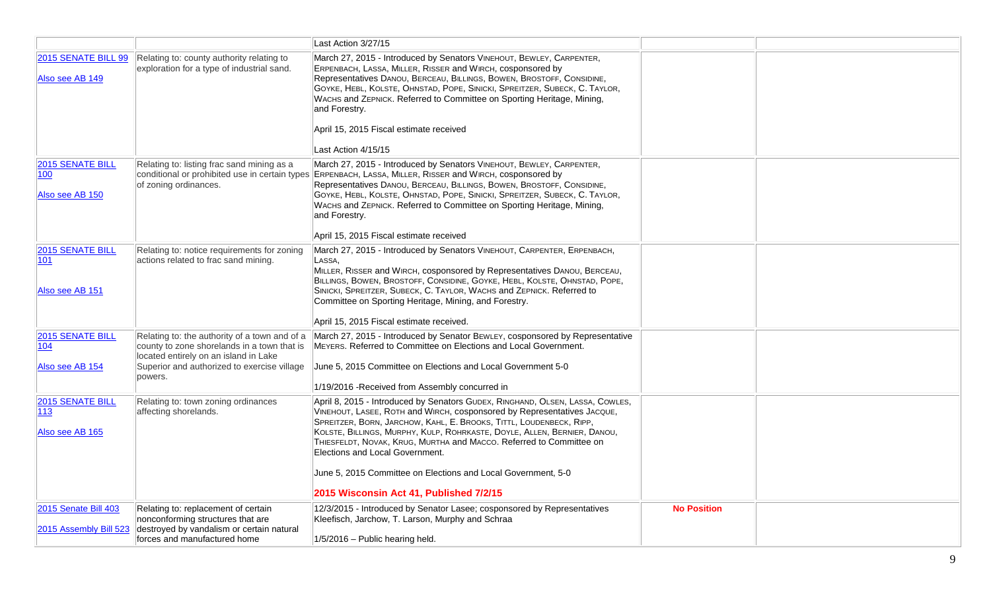|                                                     |                                                                                                                                                                                                 | Last Action 3/27/15                                                                                                                                                                                                                                                                                                                                                                                                                                                                                                               |                    |  |
|-----------------------------------------------------|-------------------------------------------------------------------------------------------------------------------------------------------------------------------------------------------------|-----------------------------------------------------------------------------------------------------------------------------------------------------------------------------------------------------------------------------------------------------------------------------------------------------------------------------------------------------------------------------------------------------------------------------------------------------------------------------------------------------------------------------------|--------------------|--|
| 2015 SENATE BILL 99<br>Also see AB 149              | Relating to: county authority relating to<br>exploration for a type of industrial sand.                                                                                                         | March 27, 2015 - Introduced by Senators VINEHOUT, BEWLEY, CARPENTER,<br>ERPENBACH, LASSA, MILLER, RISSER and WIRCH, cosponsored by<br>Representatives DANOU, BERCEAU, BILLINGS, BOWEN, BROSTOFF, CONSIDINE,<br>GOYKE, HEBL, KOLSTE, OHNSTAD, POPE, SINICKI, SPREITZER, SUBECK, C. TAYLOR,<br>WACHS and ZEPNICK. Referred to Committee on Sporting Heritage, Mining,<br>and Forestry.<br>April 15, 2015 Fiscal estimate received<br>Last Action 4/15/15                                                                            |                    |  |
| <b>2015 SENATE BILL</b><br>100<br>Also see AB 150   | Relating to: listing frac sand mining as a<br>conditional or prohibited use in certain types<br>of zoning ordinances.                                                                           | March 27, 2015 - Introduced by Senators VINEHOUT, BEWLEY, CARPENTER,<br>ERPENBACH, LASSA, MILLER, RISSER and WIRCH, cosponsored by<br>Representatives DANOU, BERCEAU, BILLINGS, BOWEN, BROSTOFF, CONSIDINE,<br>GOYKE, HEBL, KOLSTE, OHNSTAD, POPE, SINICKI, SPREITZER, SUBECK, C. TAYLOR,<br>WACHS and ZEPNICK. Referred to Committee on Sporting Heritage, Mining,<br>and Forestry.<br>April 15, 2015 Fiscal estimate received                                                                                                   |                    |  |
| <b>2015 SENATE BILL</b><br>101<br>Also see AB 151   | Relating to: notice requirements for zoning<br>actions related to frac sand mining.                                                                                                             | March 27, 2015 - Introduced by Senators VINEHOUT, CARPENTER, ERPENBACH,<br>LASSA.<br>MILLER, RISSER and WIRCH, cosponsored by Representatives DANOU, BERCEAU,<br>BILLINGS, BOWEN, BROSTOFF, CONSIDINE, GOYKE, HEBL, KOLSTE, OHNSTAD, POPE,<br>SINICKI, SPREITZER, SUBECK, C. TAYLOR, WACHS and ZEPNICK. Referred to<br>Committee on Sporting Heritage, Mining, and Forestry.<br>April 15, 2015 Fiscal estimate received.                                                                                                          |                    |  |
| <b>2015 SENATE BILL</b><br> 104 <br>Also see AB 154 | Relating to: the authority of a town and of a<br>county to zone shorelands in a town that is<br>located entirely on an island in Lake<br>Superior and authorized to exercise village<br>powers. | March 27, 2015 - Introduced by Senator BEWLEY, cosponsored by Representative<br>MEYERS. Referred to Committee on Elections and Local Government.<br>June 5, 2015 Committee on Elections and Local Government 5-0<br>1/19/2016 - Received from Assembly concurred in                                                                                                                                                                                                                                                               |                    |  |
| 2015 SENATE BILL<br>113<br>Also see AB 165          | Relating to: town zoning ordinances<br>affecting shorelands.                                                                                                                                    | April 8, 2015 - Introduced by Senators GUDEX, RINGHAND, OLSEN, LASSA, COWLES,<br>VINEHOUT, LASEE, ROTH and WIRCH, cosponsored by Representatives JACQUE,<br>SPREITZER, BORN, JARCHOW, KAHL, E. BROOKS, TITTL, LOUDENBECK, RIPP,<br>KOLSTE, BILLINGS, MURPHY, KULP, ROHRKASTE, DOYLE, ALLEN, BERNIER, DANOU,<br>THIESFELDT, NOVAK, KRUG, MURTHA and MACCO. Referred to Committee on<br>Elections and Local Government.<br>June 5, 2015 Committee on Elections and Local Government, 5-0<br>2015 Wisconsin Act 41, Published 7/2/15 |                    |  |
| 2015 Senate Bill 403<br>2015 Assembly Bill 523      | Relating to: replacement of certain<br>nonconforming structures that are<br>destroyed by vandalism or certain natural<br>forces and manufactured home                                           | 12/3/2015 - Introduced by Senator Lasee; cosponsored by Representatives<br>Kleefisch, Jarchow, T. Larson, Murphy and Schraa<br>$1/5/2016$ - Public hearing held.                                                                                                                                                                                                                                                                                                                                                                  | <b>No Position</b> |  |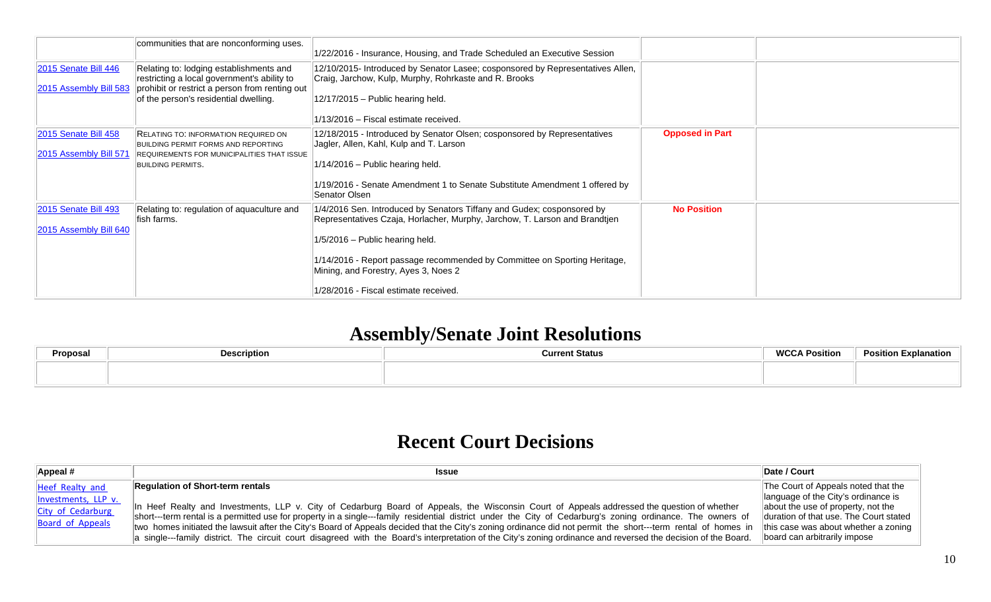|                                                   | communities that are nonconforming uses.                                                                                                                                          | 1/22/2016 - Insurance, Housing, and Trade Scheduled an Executive Session                                                                                                                                                                                                                                                                                |                        |  |
|---------------------------------------------------|-----------------------------------------------------------------------------------------------------------------------------------------------------------------------------------|---------------------------------------------------------------------------------------------------------------------------------------------------------------------------------------------------------------------------------------------------------------------------------------------------------------------------------------------------------|------------------------|--|
| 2015 Senate Bill 446<br>2015 Assembly Bill 583    | Relating to: lodging establishments and<br>restricting a local government's ability to<br>prohibit or restrict a person from renting out<br>of the person's residential dwelling. | 12/10/2015- Introduced by Senator Lasee; cosponsored by Representatives Allen,<br>Craig, Jarchow, Kulp, Murphy, Rohrkaste and R. Brooks<br>$12/17/2015$ - Public hearing held.<br>1/13/2016 – Fiscal estimate received.                                                                                                                                 |                        |  |
| $ 2015$ Senate Bill 458<br>2015 Assembly Bill 571 | RELATING TO: INFORMATION REQUIRED ON<br>BUILDING PERMIT FORMS AND REPORTING<br>REQUIREMENTS FOR MUNICIPALITIES THAT ISSUE<br><b>BUILDING PERMITS.</b>                             | 12/18/2015 - Introduced by Senator Olsen; cosponsored by Representatives<br>Jagler, Allen, Kahl, Kulp and T. Larson<br>$1/14/2016$ – Public hearing held.<br>1/19/2016 - Senate Amendment 1 to Senate Substitute Amendment 1 offered by<br>Senator Olsen                                                                                                | <b>Opposed in Part</b> |  |
| $ 2015$ Senate Bill 493<br>2015 Assembly Bill 640 | Relating to: regulation of aquaculture and<br>lfish farms.                                                                                                                        | 1/4/2016 Sen. Introduced by Senators Tiffany and Gudex; cosponsored by<br>Representatives Czaja, Horlacher, Murphy, Jarchow, T. Larson and Brandtjen<br>$1/5/2016$ – Public hearing held.<br>1/14/2016 - Report passage recommended by Committee on Sporting Heritage,<br>Mining, and Forestry, Ayes 3, Noes 2<br>1/28/2016 - Fiscal estimate received. | <b>No Position</b>     |  |

## **Assembly/Senate Joint Resolutions**

| Proposal | <b>Description</b> | <b>Current Status</b> | <b>WCCA Position</b> | <b>Position Explanation</b> |
|----------|--------------------|-----------------------|----------------------|-----------------------------|
|          |                    |                       |                      |                             |
|          |                    |                       |                      |                             |

## **Recent Court Decisions**

| Appeal #                                                                        | <b>Issue</b>                                                                                                                                                                                                                                                                                                                                                                                                                                                                                                                                                                                                                                                                             | Date / Court                                                                                                                                                                                                                       |
|---------------------------------------------------------------------------------|------------------------------------------------------------------------------------------------------------------------------------------------------------------------------------------------------------------------------------------------------------------------------------------------------------------------------------------------------------------------------------------------------------------------------------------------------------------------------------------------------------------------------------------------------------------------------------------------------------------------------------------------------------------------------------------|------------------------------------------------------------------------------------------------------------------------------------------------------------------------------------------------------------------------------------|
| Heef Realty and<br>Investments, LLP v.<br>City of Cedarburg<br>Board of Appeals | <b>Requiation of Short-term rentals</b><br>In Heef Realty and Investments, LLP v. City of Cedarburg Board of Appeals, the Wisconsin Court of Appeals addressed the question of whether<br>short---term rental is a permitted use for property in a single---family residential district under the City of Cedarburg's zoning ordinance. The owners of<br>two homes initiated the lawsuit after the City's Board of Appeals decided that the City's zoning ordinance did not permit the short---term rental of homes in<br>a single---family district. The circuit court disagreed with the Board's interpretation of the City's zoning ordinance and reversed the decision of the Board. | The Court of Appeals noted that the<br>language of the City's ordinance is<br>about the use of property, not the<br>duration of that use. The Court stated<br>this case was about whether a zoning<br>board can arbitrarily impose |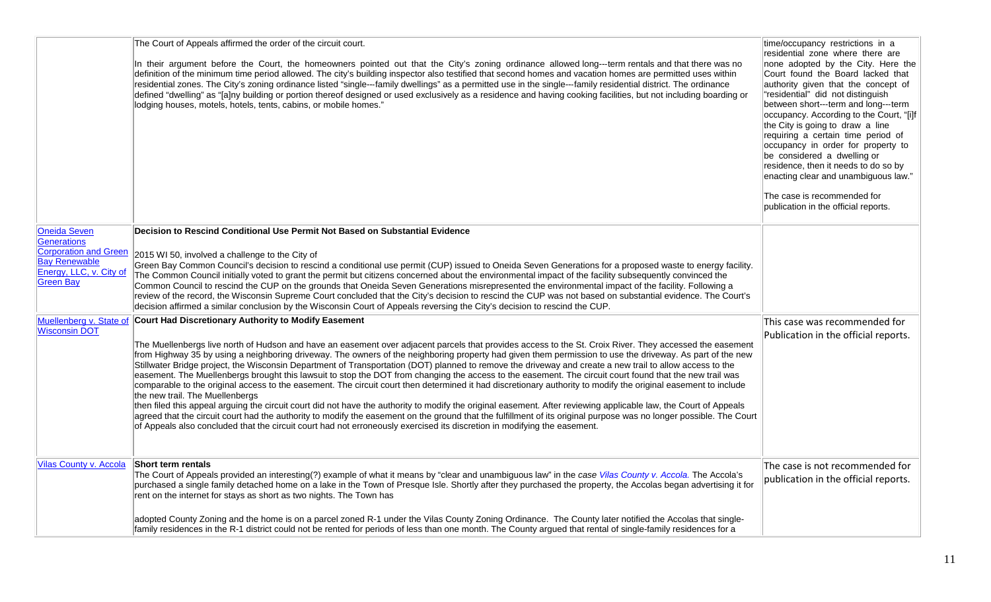|                                                                                                                                                                       | The Court of Appeals affirmed the order of the circuit court.<br>In their argument before the Court, the homeowners pointed out that the City's zoning ordinance allowed long---term rentals and that there was no<br>definition of the minimum time period allowed. The city's building inspector also testified that second homes and vacation homes are permitted uses within<br>residential zones. The City's zoning ordinance listed "single---family dwellings" as a permitted use in the single---family residential district. The ordinance<br>defined "dwelling" as "[a]ny building or portion thereof designed or used exclusively as a residence and having cooking facilities, but not including boarding or<br>lodging houses, motels, hotels, tents, cabins, or mobile homes."                                                                                                                                                                                                                                                                                                                                                                                                                                                                                                                                                                                                                                                                                                                                                                                                                                                                                                                 | time/occupancy restrictions in a<br>residential zone where there are<br>none adopted by the City. Here the<br>Court found the Board lacked that<br>authority given that the concept of<br>"residential" did not distinguish<br>between short---term and long---term<br>occupancy. According to the Court, "[i]f<br>the City is going to draw a line<br>requiring a certain time period of<br>occupancy in order for property to<br>be considered a dwelling or<br>residence, then it needs to do so by<br>enacting clear and unambiguous law."<br>The case is recommended for<br>publication in the official reports. |
|-----------------------------------------------------------------------------------------------------------------------------------------------------------------------|--------------------------------------------------------------------------------------------------------------------------------------------------------------------------------------------------------------------------------------------------------------------------------------------------------------------------------------------------------------------------------------------------------------------------------------------------------------------------------------------------------------------------------------------------------------------------------------------------------------------------------------------------------------------------------------------------------------------------------------------------------------------------------------------------------------------------------------------------------------------------------------------------------------------------------------------------------------------------------------------------------------------------------------------------------------------------------------------------------------------------------------------------------------------------------------------------------------------------------------------------------------------------------------------------------------------------------------------------------------------------------------------------------------------------------------------------------------------------------------------------------------------------------------------------------------------------------------------------------------------------------------------------------------------------------------------------------------|-----------------------------------------------------------------------------------------------------------------------------------------------------------------------------------------------------------------------------------------------------------------------------------------------------------------------------------------------------------------------------------------------------------------------------------------------------------------------------------------------------------------------------------------------------------------------------------------------------------------------|
| <b>Oneida Seven</b>                                                                                                                                                   | Decision to Rescind Conditional Use Permit Not Based on Substantial Evidence                                                                                                                                                                                                                                                                                                                                                                                                                                                                                                                                                                                                                                                                                                                                                                                                                                                                                                                                                                                                                                                                                                                                                                                                                                                                                                                                                                                                                                                                                                                                                                                                                                 |                                                                                                                                                                                                                                                                                                                                                                                                                                                                                                                                                                                                                       |
| Generations<br><b>Corporation and Green</b><br><b>Bay Renewable</b><br>Energy, LLC, v. City of<br><b>Green Bay</b><br>Muellenberg v. State of<br><b>Wisconsin DOT</b> | 2015 WI 50, involved a challenge to the City of<br>Green Bay Common Council's decision to rescind a conditional use permit (CUP) issued to Oneida Seven Generations for a proposed waste to energy facility.<br>The Common Council initially voted to grant the permit but citizens concerned about the environmental impact of the facility subsequently convinced the<br>Common Council to rescind the CUP on the grounds that Oneida Seven Generations misrepresented the environmental impact of the facility. Following a<br>review of the record, the Wisconsin Supreme Court concluded that the City's decision to rescind the CUP was not based on substantial evidence. The Court's<br>decision affirmed a similar conclusion by the Wisconsin Court of Appeals reversing the City's decision to rescind the CUP.<br><b>Court Had Discretionary Authority to Modify Easement</b><br>The Muellenbergs live north of Hudson and have an easement over adjacent parcels that provides access to the St. Croix River. They accessed the easement<br>from Highway 35 by using a neighboring driveway. The owners of the neighboring property had given them permission to use the driveway. As part of the new<br>Stillwater Bridge project, the Wisconsin Department of Transportation (DOT) planned to remove the driveway and create a new trail to allow access to the<br>easement. The Muellenbergs brought this lawsuit to stop the DOT from changing the access to the easement. The circuit court found that the new trail was<br>comparable to the original access to the easement. The circuit court then determined it had discretionary authority to modify the original easement to include | This case was recommended for<br>Publication in the official reports.                                                                                                                                                                                                                                                                                                                                                                                                                                                                                                                                                 |
|                                                                                                                                                                       | the new trail. The Muellenbergs<br>then filed this appeal arguing the circuit court did not have the authority to modify the original easement. After reviewing applicable law, the Court of Appeals<br>agreed that the circuit court had the authority to modify the easement on the ground that the fulfillment of its original purpose was no longer possible. The Court<br>of Appeals also concluded that the circuit court had not erroneously exercised its discretion in modifying the easement.                                                                                                                                                                                                                                                                                                                                                                                                                                                                                                                                                                                                                                                                                                                                                                                                                                                                                                                                                                                                                                                                                                                                                                                                      |                                                                                                                                                                                                                                                                                                                                                                                                                                                                                                                                                                                                                       |
| Vilas County v. Accola                                                                                                                                                | Short term rentals<br>The Court of Appeals provided an interesting(?) example of what it means by "clear and unambiguous law" in the case Vilas County v. Accola. The Accola's<br>purchased a single family detached home on a lake in the Town of Presque Isle. Shortly after they purchased the property, the Accolas began advertising it for<br>rent on the internet for stays as short as two nights. The Town has                                                                                                                                                                                                                                                                                                                                                                                                                                                                                                                                                                                                                                                                                                                                                                                                                                                                                                                                                                                                                                                                                                                                                                                                                                                                                      | The case is not recommended for<br>publication in the official reports.                                                                                                                                                                                                                                                                                                                                                                                                                                                                                                                                               |
|                                                                                                                                                                       | adopted County Zoning and the home is on a parcel zoned R-1 under the Vilas County Zoning Ordinance. The County later notified the Accolas that single-<br>family residences in the R-1 district could not be rented for periods of less than one month. The County argued that rental of single-family residences for a                                                                                                                                                                                                                                                                                                                                                                                                                                                                                                                                                                                                                                                                                                                                                                                                                                                                                                                                                                                                                                                                                                                                                                                                                                                                                                                                                                                     |                                                                                                                                                                                                                                                                                                                                                                                                                                                                                                                                                                                                                       |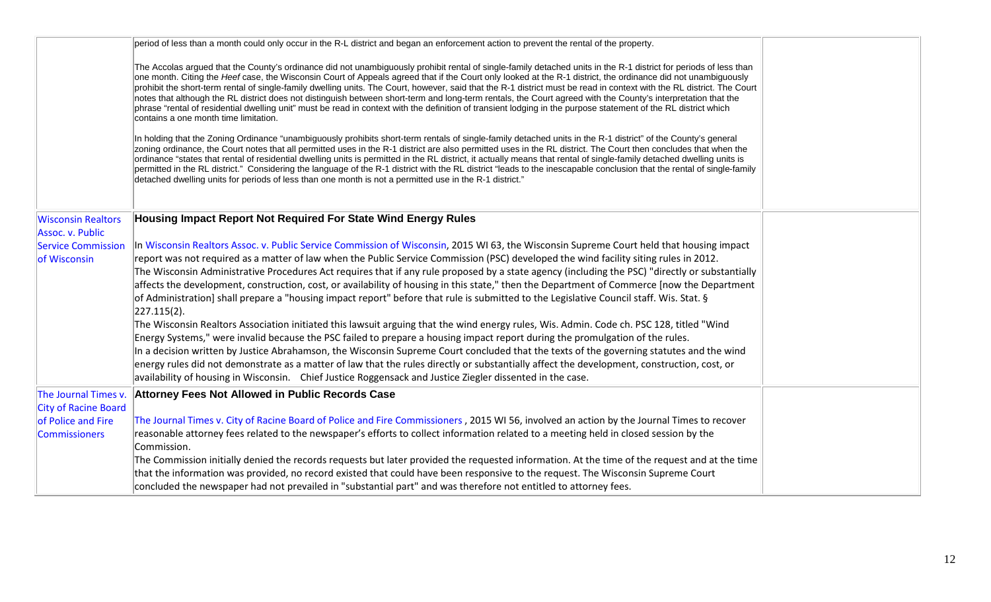|                                                   | period of less than a month could only occur in the R-L district and began an enforcement action to prevent the rental of the property.                                                                                                                                                                                                                                                                                                                                                                                                                                                                                                                                                                                                                                                                                                                                                   |  |
|---------------------------------------------------|-------------------------------------------------------------------------------------------------------------------------------------------------------------------------------------------------------------------------------------------------------------------------------------------------------------------------------------------------------------------------------------------------------------------------------------------------------------------------------------------------------------------------------------------------------------------------------------------------------------------------------------------------------------------------------------------------------------------------------------------------------------------------------------------------------------------------------------------------------------------------------------------|--|
|                                                   | The Accolas argued that the County's ordinance did not unambiguously prohibit rental of single-family detached units in the R-1 district for periods of less than<br>one month. Citing the Heef case, the Wisconsin Court of Appeals agreed that if the Court only looked at the R-1 district, the ordinance did not unambiguously<br>prohibit the short-term rental of single-family dwelling units. The Court, however, said that the R-1 district must be read in context with the RL district. The Court<br>notes that although the RL district does not distinguish between short-term and long-term rentals, the Court agreed with the County's interpretation that the<br>phrase "rental of residential dwelling unit" must be read in context with the definition of transient lodging in the purpose statement of the RL district which<br>contains a one month time limitation. |  |
|                                                   | In holding that the Zoning Ordinance "unambiguously prohibits short-term rentals of single-family detached units in the R-1 district" of the County's general<br>zoning ordinance, the Court notes that all permitted uses in the R-1 district are also permitted uses in the RL district. The Court then concludes that when the<br>ordinance "states that rental of residential dwelling units is permitted in the RL district, it actually means that rental of single-family detached dwelling units is<br>permitted in the RL district." Considering the language of the R-1 district with the RL district "leads to the inescapable conclusion that the rental of single-family<br>detached dwelling units for periods of less than one month is not a permitted use in the R-1 district."                                                                                          |  |
| <b>Wisconsin Realtors</b>                         | Housing Impact Report Not Required For State Wind Energy Rules                                                                                                                                                                                                                                                                                                                                                                                                                                                                                                                                                                                                                                                                                                                                                                                                                            |  |
| Assoc. v. Public<br><b>Service Commission</b>     | In Wisconsin Realtors Assoc. v. Public Service Commission of Wisconsin, 2015 WI 63, the Wisconsin Supreme Court held that housing impact                                                                                                                                                                                                                                                                                                                                                                                                                                                                                                                                                                                                                                                                                                                                                  |  |
| of Wisconsin                                      | report was not required as a matter of law when the Public Service Commission (PSC) developed the wind facility siting rules in 2012.                                                                                                                                                                                                                                                                                                                                                                                                                                                                                                                                                                                                                                                                                                                                                     |  |
|                                                   | The Wisconsin Administrative Procedures Act requires that if any rule proposed by a state agency (including the PSC) "directly or substantially                                                                                                                                                                                                                                                                                                                                                                                                                                                                                                                                                                                                                                                                                                                                           |  |
|                                                   | affects the development, construction, cost, or availability of housing in this state," then the Department of Commerce [now the Department                                                                                                                                                                                                                                                                                                                                                                                                                                                                                                                                                                                                                                                                                                                                               |  |
|                                                   | of Administration] shall prepare a "housing impact report" before that rule is submitted to the Legislative Council staff. Wis. Stat. §<br>$ 227.115(2) $ .                                                                                                                                                                                                                                                                                                                                                                                                                                                                                                                                                                                                                                                                                                                               |  |
|                                                   | The Wisconsin Realtors Association initiated this lawsuit arguing that the wind energy rules, Wis. Admin. Code ch. PSC 128, titled "Wind                                                                                                                                                                                                                                                                                                                                                                                                                                                                                                                                                                                                                                                                                                                                                  |  |
|                                                   | Energy Systems," were invalid because the PSC failed to prepare a housing impact report during the promulgation of the rules.                                                                                                                                                                                                                                                                                                                                                                                                                                                                                                                                                                                                                                                                                                                                                             |  |
|                                                   | In a decision written by Justice Abrahamson, the Wisconsin Supreme Court concluded that the texts of the governing statutes and the wind                                                                                                                                                                                                                                                                                                                                                                                                                                                                                                                                                                                                                                                                                                                                                  |  |
|                                                   | energy rules did not demonstrate as a matter of law that the rules directly or substantially affect the development, construction, cost, or                                                                                                                                                                                                                                                                                                                                                                                                                                                                                                                                                                                                                                                                                                                                               |  |
|                                                   | availability of housing in Wisconsin. Chief Justice Roggensack and Justice Ziegler dissented in the case.                                                                                                                                                                                                                                                                                                                                                                                                                                                                                                                                                                                                                                                                                                                                                                                 |  |
| The Journal Times v.                              | Attorney Fees Not Allowed in Public Records Case                                                                                                                                                                                                                                                                                                                                                                                                                                                                                                                                                                                                                                                                                                                                                                                                                                          |  |
| <b>City of Racine Board</b><br>of Police and Fire | The Journal Times v. City of Racine Board of Police and Fire Commissioners, 2015 WI 56, involved an action by the Journal Times to recover                                                                                                                                                                                                                                                                                                                                                                                                                                                                                                                                                                                                                                                                                                                                                |  |
| <b>Commissioners</b>                              | reasonable attorney fees related to the newspaper's efforts to collect information related to a meeting held in closed session by the                                                                                                                                                                                                                                                                                                                                                                                                                                                                                                                                                                                                                                                                                                                                                     |  |
|                                                   | Commission.                                                                                                                                                                                                                                                                                                                                                                                                                                                                                                                                                                                                                                                                                                                                                                                                                                                                               |  |
|                                                   | The Commission initially denied the records requests but later provided the requested information. At the time of the request and at the time                                                                                                                                                                                                                                                                                                                                                                                                                                                                                                                                                                                                                                                                                                                                             |  |
|                                                   | that the information was provided, no record existed that could have been responsive to the request. The Wisconsin Supreme Court                                                                                                                                                                                                                                                                                                                                                                                                                                                                                                                                                                                                                                                                                                                                                          |  |
|                                                   | concluded the newspaper had not prevailed in "substantial part" and was therefore not entitled to attorney fees.                                                                                                                                                                                                                                                                                                                                                                                                                                                                                                                                                                                                                                                                                                                                                                          |  |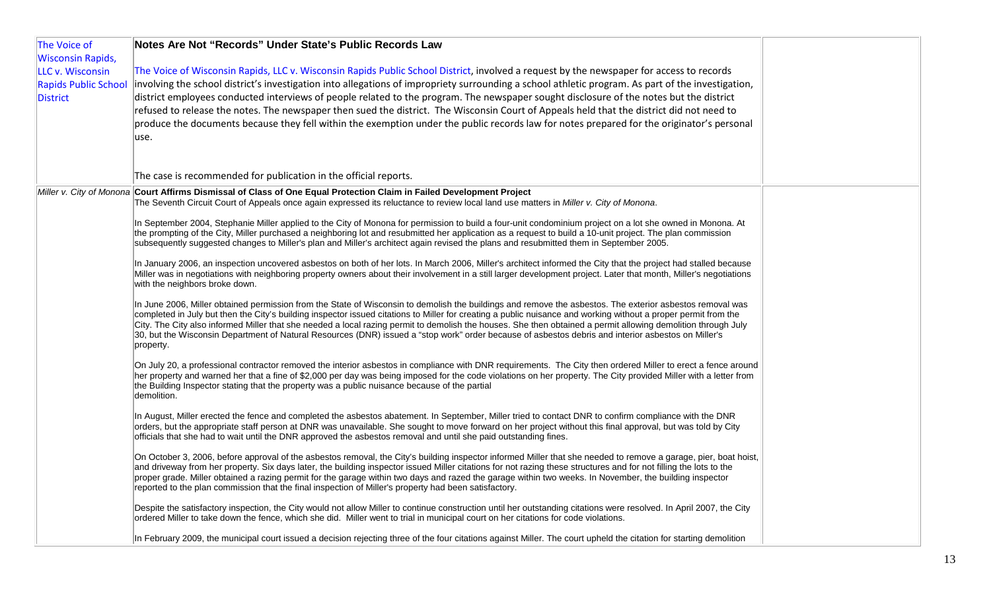| The Voice of Wisconsin Rapids, LLC v. Wisconsin Rapids Public School District, involved a request by the newspaper for access to records<br>LLC v. Wisconsin<br>involving the school district's investigation into allegations of impropriety surrounding a school athletic program. As part of the investigation,<br><b>Rapids Public School</b><br>district employees conducted interviews of people related to the program. The newspaper sought disclosure of the notes but the district<br>refused to release the notes. The newspaper then sued the district. The Wisconsin Court of Appeals held that the district did not need to<br>produce the documents because they fell within the exemption under the public records law for notes prepared for the originator's personal<br>use.<br>The case is recommended for publication in the official reports.<br>Miller v. City of Monona Court Affirms Dismissal of Class of One Equal Protection Claim in Failed Development Project<br>The Seventh Circuit Court of Appeals once again expressed its reluctance to review local land use matters in Miller v. City of Monona.<br>In September 2004, Stephanie Miller applied to the City of Monona for permission to build a four-unit condominium project on a lot she owned in Monona. At<br>the prompting of the City, Miller purchased a neighboring lot and resubmitted her application as a request to build a 10-unit project. The plan commission<br>subsequently suggested changes to Miller's plan and Miller's architect again revised the plans and resubmitted them in September 2005.<br>In January 2006, an inspection uncovered asbestos on both of her lots. In March 2006, Miller's architect informed the City that the project had stalled because<br>Miller was in negotiations with neighboring property owners about their involvement in a still larger development project. Later that month, Miller's negotiations<br>with the neighbors broke down.<br>In June 2006, Miller obtained permission from the State of Wisconsin to demolish the buildings and remove the asbestos. The exterior asbestos removal was<br>completed in July but then the City's building inspector issued citations to Miller for creating a public nuisance and working without a proper permit from the<br>City. The City also informed Miller that she needed a local razing permit to demolish the houses. She then obtained a permit allowing demolition through July<br>30, but the Wisconsin Department of Natural Resources (DNR) issued a "stop work" order because of asbestos debris and interior asbestos on Miller's<br>property.<br>On July 20, a professional contractor removed the interior asbestos in compliance with DNR requirements. The City then ordered Miller to erect a fence around<br>her property and warned her that a fine of \$2,000 per day was being imposed for the code violations on her property. The City provided Miller with a letter from<br>the Building Inspector stating that the property was a public nuisance because of the partial<br>demolition.<br>In August, Miller erected the fence and completed the asbestos abatement. In September, Miller tried to contact DNR to confirm compliance with the DNR<br>orders, but the appropriate staff person at DNR was unavailable. She sought to move forward on her project without this final approval, but was told by City<br>officials that she had to wait until the DNR approved the asbestos removal and until she paid outstanding fines.<br>On October 3, 2006, before approval of the asbestos removal, the City's building inspector informed Miller that she needed to remove a garage, pier, boat hoist,<br>and driveway from her property. Six days later, the building inspector issued Miller citations for not razing these structures and for not filling the lots to the<br>proper grade. Miller obtained a razing permit for the garage within two days and razed the garage within two weeks. In November, the building inspector<br>reported to the plan commission that the final inspection of Miller's property had been satisfactory.<br>Despite the satisfactory inspection, the City would not allow Miller to continue construction until her outstanding citations were resolved. In April 2007, the City<br>ordered Miller to take down the fence, which she did. Miller went to trial in municipal court on her citations for code violations.<br>In February 2009, the municipal court issued a decision rejecting three of the four citations against Miller. The court upheld the citation for starting demolition | The Voice of                         | Notes Are Not "Records" Under State's Public Records Law |  |
|----------------------------------------------------------------------------------------------------------------------------------------------------------------------------------------------------------------------------------------------------------------------------------------------------------------------------------------------------------------------------------------------------------------------------------------------------------------------------------------------------------------------------------------------------------------------------------------------------------------------------------------------------------------------------------------------------------------------------------------------------------------------------------------------------------------------------------------------------------------------------------------------------------------------------------------------------------------------------------------------------------------------------------------------------------------------------------------------------------------------------------------------------------------------------------------------------------------------------------------------------------------------------------------------------------------------------------------------------------------------------------------------------------------------------------------------------------------------------------------------------------------------------------------------------------------------------------------------------------------------------------------------------------------------------------------------------------------------------------------------------------------------------------------------------------------------------------------------------------------------------------------------------------------------------------------------------------------------------------------------------------------------------------------------------------------------------------------------------------------------------------------------------------------------------------------------------------------------------------------------------------------------------------------------------------------------------------------------------------------------------------------------------------------------------------------------------------------------------------------------------------------------------------------------------------------------------------------------------------------------------------------------------------------------------------------------------------------------------------------------------------------------------------------------------------------------------------------------------------------------------------------------------------------------------------------------------------------------------------------------------------------------------------------------------------------------------------------------------------------------------------------------------------------------------------------------------------------------------------------------------------------------------------------------------------------------------------------------------------------------------------------------------------------------------------------------------------------------------------------------------------------------------------------------------------------------------------------------------------------------------------------------------------------------------------------------------------------------------------------------------------------------------------------------------------------------------------------------------------------------------------------------------------------------------------------------------------------------------------------------------------------------------------------------------------------------------------------------------------------------------------------------------------------------------------------------------------------------------------------------------------------------------------------------------------------------------------------------------------------------------------------------------------------------------------------------------------------------------------------------------------------------------------------------------------------------------------------------------------------------------------------------------------------------|--------------------------------------|----------------------------------------------------------|--|
|                                                                                                                                                                                                                                                                                                                                                                                                                                                                                                                                                                                                                                                                                                                                                                                                                                                                                                                                                                                                                                                                                                                                                                                                                                                                                                                                                                                                                                                                                                                                                                                                                                                                                                                                                                                                                                                                                                                                                                                                                                                                                                                                                                                                                                                                                                                                                                                                                                                                                                                                                                                                                                                                                                                                                                                                                                                                                                                                                                                                                                                                                                                                                                                                                                                                                                                                                                                                                                                                                                                                                                                                                                                                                                                                                                                                                                                                                                                                                                                                                                                                                                                                                                                                                                                                                                                                                                                                                                                                                                                                                                                                                                                                      | <b>Wisconsin Rapids,</b><br>District |                                                          |  |
|                                                                                                                                                                                                                                                                                                                                                                                                                                                                                                                                                                                                                                                                                                                                                                                                                                                                                                                                                                                                                                                                                                                                                                                                                                                                                                                                                                                                                                                                                                                                                                                                                                                                                                                                                                                                                                                                                                                                                                                                                                                                                                                                                                                                                                                                                                                                                                                                                                                                                                                                                                                                                                                                                                                                                                                                                                                                                                                                                                                                                                                                                                                                                                                                                                                                                                                                                                                                                                                                                                                                                                                                                                                                                                                                                                                                                                                                                                                                                                                                                                                                                                                                                                                                                                                                                                                                                                                                                                                                                                                                                                                                                                                                      |                                      |                                                          |  |
|                                                                                                                                                                                                                                                                                                                                                                                                                                                                                                                                                                                                                                                                                                                                                                                                                                                                                                                                                                                                                                                                                                                                                                                                                                                                                                                                                                                                                                                                                                                                                                                                                                                                                                                                                                                                                                                                                                                                                                                                                                                                                                                                                                                                                                                                                                                                                                                                                                                                                                                                                                                                                                                                                                                                                                                                                                                                                                                                                                                                                                                                                                                                                                                                                                                                                                                                                                                                                                                                                                                                                                                                                                                                                                                                                                                                                                                                                                                                                                                                                                                                                                                                                                                                                                                                                                                                                                                                                                                                                                                                                                                                                                                                      |                                      |                                                          |  |
|                                                                                                                                                                                                                                                                                                                                                                                                                                                                                                                                                                                                                                                                                                                                                                                                                                                                                                                                                                                                                                                                                                                                                                                                                                                                                                                                                                                                                                                                                                                                                                                                                                                                                                                                                                                                                                                                                                                                                                                                                                                                                                                                                                                                                                                                                                                                                                                                                                                                                                                                                                                                                                                                                                                                                                                                                                                                                                                                                                                                                                                                                                                                                                                                                                                                                                                                                                                                                                                                                                                                                                                                                                                                                                                                                                                                                                                                                                                                                                                                                                                                                                                                                                                                                                                                                                                                                                                                                                                                                                                                                                                                                                                                      |                                      |                                                          |  |
|                                                                                                                                                                                                                                                                                                                                                                                                                                                                                                                                                                                                                                                                                                                                                                                                                                                                                                                                                                                                                                                                                                                                                                                                                                                                                                                                                                                                                                                                                                                                                                                                                                                                                                                                                                                                                                                                                                                                                                                                                                                                                                                                                                                                                                                                                                                                                                                                                                                                                                                                                                                                                                                                                                                                                                                                                                                                                                                                                                                                                                                                                                                                                                                                                                                                                                                                                                                                                                                                                                                                                                                                                                                                                                                                                                                                                                                                                                                                                                                                                                                                                                                                                                                                                                                                                                                                                                                                                                                                                                                                                                                                                                                                      |                                      |                                                          |  |
|                                                                                                                                                                                                                                                                                                                                                                                                                                                                                                                                                                                                                                                                                                                                                                                                                                                                                                                                                                                                                                                                                                                                                                                                                                                                                                                                                                                                                                                                                                                                                                                                                                                                                                                                                                                                                                                                                                                                                                                                                                                                                                                                                                                                                                                                                                                                                                                                                                                                                                                                                                                                                                                                                                                                                                                                                                                                                                                                                                                                                                                                                                                                                                                                                                                                                                                                                                                                                                                                                                                                                                                                                                                                                                                                                                                                                                                                                                                                                                                                                                                                                                                                                                                                                                                                                                                                                                                                                                                                                                                                                                                                                                                                      |                                      |                                                          |  |
|                                                                                                                                                                                                                                                                                                                                                                                                                                                                                                                                                                                                                                                                                                                                                                                                                                                                                                                                                                                                                                                                                                                                                                                                                                                                                                                                                                                                                                                                                                                                                                                                                                                                                                                                                                                                                                                                                                                                                                                                                                                                                                                                                                                                                                                                                                                                                                                                                                                                                                                                                                                                                                                                                                                                                                                                                                                                                                                                                                                                                                                                                                                                                                                                                                                                                                                                                                                                                                                                                                                                                                                                                                                                                                                                                                                                                                                                                                                                                                                                                                                                                                                                                                                                                                                                                                                                                                                                                                                                                                                                                                                                                                                                      |                                      |                                                          |  |
|                                                                                                                                                                                                                                                                                                                                                                                                                                                                                                                                                                                                                                                                                                                                                                                                                                                                                                                                                                                                                                                                                                                                                                                                                                                                                                                                                                                                                                                                                                                                                                                                                                                                                                                                                                                                                                                                                                                                                                                                                                                                                                                                                                                                                                                                                                                                                                                                                                                                                                                                                                                                                                                                                                                                                                                                                                                                                                                                                                                                                                                                                                                                                                                                                                                                                                                                                                                                                                                                                                                                                                                                                                                                                                                                                                                                                                                                                                                                                                                                                                                                                                                                                                                                                                                                                                                                                                                                                                                                                                                                                                                                                                                                      |                                      |                                                          |  |
|                                                                                                                                                                                                                                                                                                                                                                                                                                                                                                                                                                                                                                                                                                                                                                                                                                                                                                                                                                                                                                                                                                                                                                                                                                                                                                                                                                                                                                                                                                                                                                                                                                                                                                                                                                                                                                                                                                                                                                                                                                                                                                                                                                                                                                                                                                                                                                                                                                                                                                                                                                                                                                                                                                                                                                                                                                                                                                                                                                                                                                                                                                                                                                                                                                                                                                                                                                                                                                                                                                                                                                                                                                                                                                                                                                                                                                                                                                                                                                                                                                                                                                                                                                                                                                                                                                                                                                                                                                                                                                                                                                                                                                                                      |                                      |                                                          |  |
|                                                                                                                                                                                                                                                                                                                                                                                                                                                                                                                                                                                                                                                                                                                                                                                                                                                                                                                                                                                                                                                                                                                                                                                                                                                                                                                                                                                                                                                                                                                                                                                                                                                                                                                                                                                                                                                                                                                                                                                                                                                                                                                                                                                                                                                                                                                                                                                                                                                                                                                                                                                                                                                                                                                                                                                                                                                                                                                                                                                                                                                                                                                                                                                                                                                                                                                                                                                                                                                                                                                                                                                                                                                                                                                                                                                                                                                                                                                                                                                                                                                                                                                                                                                                                                                                                                                                                                                                                                                                                                                                                                                                                                                                      |                                      |                                                          |  |
|                                                                                                                                                                                                                                                                                                                                                                                                                                                                                                                                                                                                                                                                                                                                                                                                                                                                                                                                                                                                                                                                                                                                                                                                                                                                                                                                                                                                                                                                                                                                                                                                                                                                                                                                                                                                                                                                                                                                                                                                                                                                                                                                                                                                                                                                                                                                                                                                                                                                                                                                                                                                                                                                                                                                                                                                                                                                                                                                                                                                                                                                                                                                                                                                                                                                                                                                                                                                                                                                                                                                                                                                                                                                                                                                                                                                                                                                                                                                                                                                                                                                                                                                                                                                                                                                                                                                                                                                                                                                                                                                                                                                                                                                      |                                      |                                                          |  |